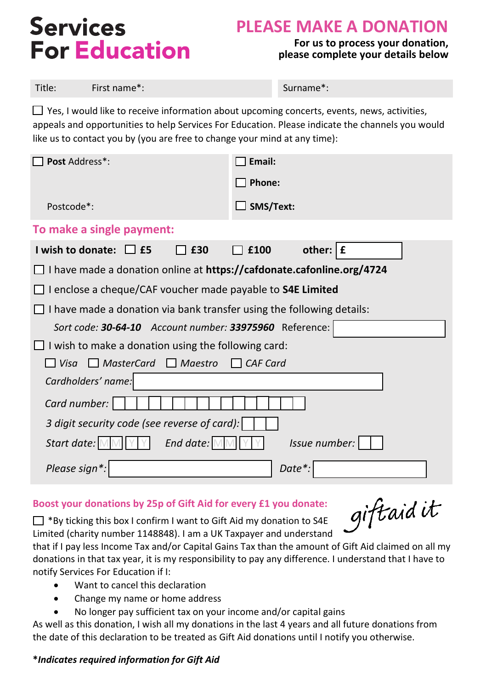# **Services For Education**

## **PLEASE MAKE A DONATION**

#### **For us to process your donation, please complete your details below**

 $\Box$  Yes, I would like to receive information about upcoming concerts, events, news, activities, appeals and opportunities to help Services For Education. Please indicate the channels you would like us to contact you by (you are free to change your mind at any time):

| Post Address*:                                                        | Email:              |  |
|-----------------------------------------------------------------------|---------------------|--|
|                                                                       | Phone:              |  |
| Postcode*:                                                            | $\Box$ SMS/Text:    |  |
| To make a single payment:                                             |                     |  |
| I wish to donate: E5<br>£30                                           | £<br>other:<br>£100 |  |
| I have made a donation online at https://cafdonate.cafonline.org/4724 |                     |  |
| I enclose a cheque/CAF voucher made payable to S4E Limited            |                     |  |
| I have made a donation via bank transfer using the following details: |                     |  |
| Sort code: 30-64-10 Account number: 33975960 Reference:               |                     |  |
| I wish to make a donation using the following card:                   |                     |  |
| $\Box$ MasterCard $\Box$ Maestro<br>l Visa<br>$\Box$ CAF Card         |                     |  |
| Cardholders' name:                                                    |                     |  |
| Card number:                                                          |                     |  |
| 3 digit security code (see reverse of card):                          |                     |  |
| Start date:<br>End date:                                              | Issue number:       |  |
| Please sign*:                                                         | Date*               |  |

#### **Boost your donations by 25p of Gift Aid for every £1 you donate:**

 $\Box$  \*By ticking this box I confirm I want to Gift Aid my donation to S4E Limited (charity number 1148848). I am a UK Taxpayer and understand

giftaidit

that if I pay less Income Tax and/or Capital Gains Tax than the amount of Gift Aid claimed on all my donations in that tax year, it is my responsibility to pay any difference. I understand that I have to notify Services For Education if I:

- Want to cancel this declaration
- Change my name or home address
- No longer pay sufficient tax on your income and/or capital gains

As well as this donation, I wish all my donations in the last 4 years and all future donations from the date of this declaration to be treated as Gift Aid donations until I notify you otherwise.

#### **\****Indicates required information for Gift Aid*